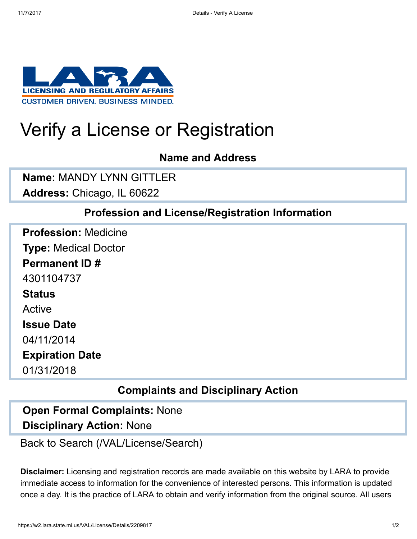

# Verify a License or Registration

#### Name and Address

Name: MANDY LYNN GITTLER

Address: Chicago, IL 60622

### Profession and License/Registration Information

Profession: Medicine Type: Medical Doctor Permanent ID # 4301104737 **Status** Active Issue Date 04/11/2014 Expiration Date 01/31/2018

## Complaints and Disciplinary Action

## Disciplinary Action: None Open Formal Complaints: None

[Back to Search \(/VAL/License/Search\)](https://w2.lara.state.mi.us/VAL/License/Search)

Disclaimer: Licensing and registration records are made available on this website by LARA to provide immediate access to information for the convenience of interested persons. This information is updated once a day. It is the practice of LARA to obtain and verify information from the original source. All users